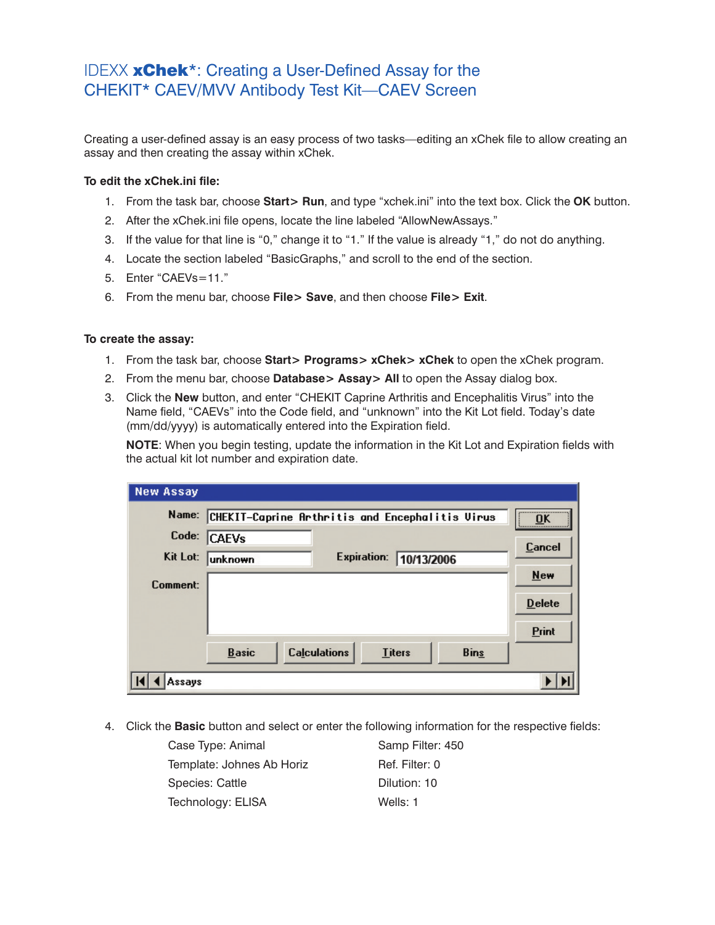## IDEXX xChek\*: Creating a User-Defined Assay for the CHEKIT\* CAEV/MVV Antibody Test Kit—CAEV Screen

Creating a user-defined assay is an easy process of two tasks—editing an xChek file to allow creating an assay and then creating the assay within xChek.

## **To edit the xChek.ini file:**

- 1. From the task bar, choose **Start> Run**, and type "xchek.ini" into the text box. Click the **OK** button.
- 2. After the xChek.ini file opens, locate the line labeled "AllowNewAssays."
- 3. If the value for that line is "0," change it to "1." If the value is already "1," do not do anything.
- 4. Locate the section labeled "BasicGraphs," and scroll to the end of the section.
- 5. Enter "CAEVs=11."
- 6. From the menu bar, choose **File> Save**, and then choose **File> Exit**.

## **To create the assay:**

- 1. From the task bar, choose **Start> Programs> xChek> xChek** to open the xChek program.
- 2. From the menu bar, choose **Database> Assay> All** to open the Assay dialog box.
- 3. Click the **New** button, and enter "CHEKIT Caprine Arthritis and Encephalitis Virus" into the Name field, "CAEVs" into the Code field, and "unknown" into the Kit Lot field. Today's date (mm/dd/yyyy) is automatically entered into the Expiration field.

**NOTE:** When you begin testing, update the information in the Kit Lot and Expiration fields with the actual kit lot number and expiration date.

| <b>New Assay</b> |                                                 |                     |               |             |                   |
|------------------|-------------------------------------------------|---------------------|---------------|-------------|-------------------|
| Name:            | CHEKIT-Caprine Arthritis and Encephalitis Virus | <br>ΠK              |               |             |                   |
| Code:            | <b>CAEVs</b>                                    |                     |               |             | <br><b>Cancel</b> |
| Kit Lot:         | unknown                                         | <b>Expiration:</b>  | 10/13/2006    |             |                   |
| Comment:         |                                                 |                     |               |             | <b>New</b>        |
|                  |                                                 |                     |               |             | <b>Delete</b>     |
|                  |                                                 |                     |               |             | Print             |
|                  | <b>Basic</b>                                    | <b>Calculations</b> | <b>Titers</b> | <b>Bins</b> |                   |
| Assays           |                                                 |                     |               |             |                   |

4. Click the **Basic** button and select or enter the following information for the respective fields:

| Case Type: Animal         | Samp Filter: 450 |
|---------------------------|------------------|
| Template: Johnes Ab Horiz | Ref. Filter: 0   |
| <b>Species: Cattle</b>    | Dilution: 10     |
| Technology: ELISA         | Wells: 1         |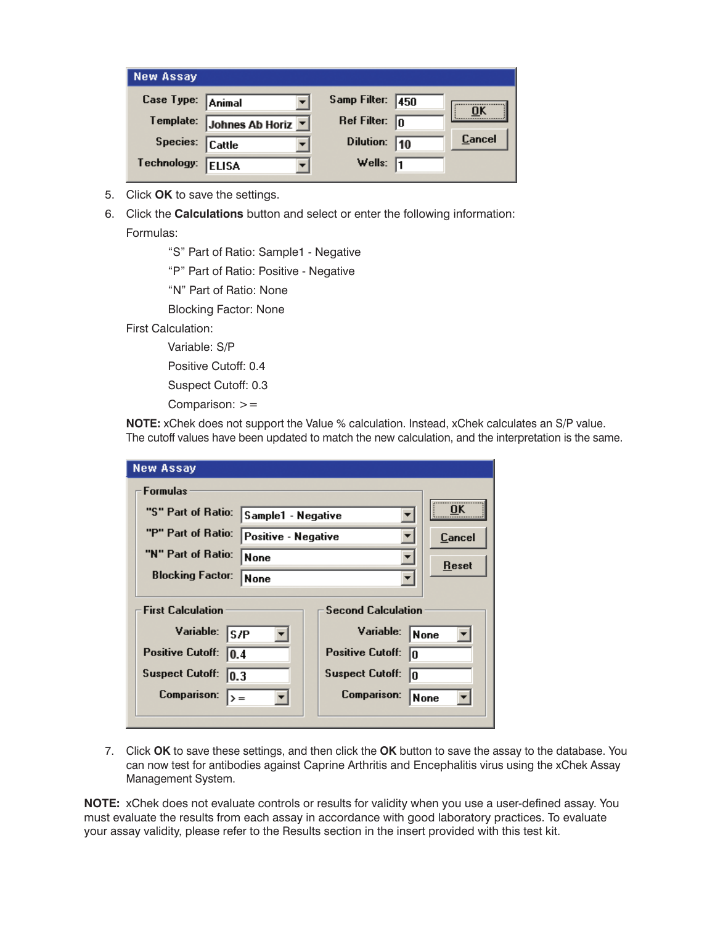| <b>New Assay</b>  |                                                |                         |        |
|-------------------|------------------------------------------------|-------------------------|--------|
| Case Type: Animal |                                                | Samp Filter: 450        |        |
|                   | Template: Johnes Ab Horiz $\boxed{\mathbf{y}}$ | Ref Filter: $\boxed{0}$ | OK     |
| Species: Cattle   |                                                | Dilution: 10            | Cancel |
| Technology:       | <b>ELISA</b>                                   | Wells: $\sqrt{1}$       |        |

- 5. Click **OK** to save the settings.
- 6. Click the **Calculations** button and select or enter the following information:

Formulas:

"S" Part of Ratio: Sample1 - Negative

"P" Part of Ratio: Positive - Negative

"N" Part of Ratio: None

Blocking Factor: None

First Calculation:

Variable: S/P

Positive Cutoff: 0.4

Suspect Cutoff: 0.3

Comparison: >=

**NOTE:** xChek does not support the Value % calculation. Instead, xChek calculates an S/P value. The cutoff values have been updated to match the new calculation, and the interpretation is the same.

| <b>New Assay</b>                |                     |                               |               |
|---------------------------------|---------------------|-------------------------------|---------------|
| <b>Formulas</b>                 |                     |                               |               |
| "S" Part of Ratio:              | Sample1 - Negative  |                               | OK            |
| "P" Part of Ratio:              | Positive - Negative |                               | <b>Cancel</b> |
| "N" Part of Ratio:              | None                |                               |               |
| <b>Blocking Factor:</b>         | <b>None</b>         |                               | Reset         |
|                                 |                     |                               |               |
| <b>First Calculation</b>        |                     | <b>Second Calculation</b>     |               |
| Variable:<br>ls/P               |                     | Variable:                     | None          |
| <b>Positive Cutoff:</b><br>10.4 |                     | <b>Positive Cutoff:</b><br>10 |               |
| <b>Suspect Cutoff:</b><br> 0.3  |                     | <b>Suspect Cutoff:</b><br>In  |               |
| Comparison:                     |                     | Comparison:                   | None          |
|                                 |                     |                               |               |

7. Click **OK** to save these settings, and then click the **OK** button to save the assay to the database. You can now test for antibodies against Caprine Arthritis and Encephalitis virus using the xChek Assay Management System.

**NOTE:** xChek does not evaluate controls or results for validity when you use a user-defined assay. You must evaluate the results from each assay in accordance with good laboratory practices. To evaluate your assay validity, please refer to the Results section in the insert provided with this test kit.